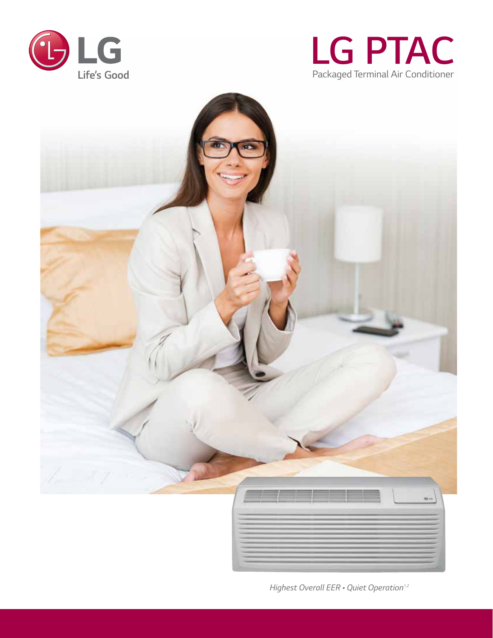





*Highest Overall EER • Quiet Operation<sup>1,2</sup>*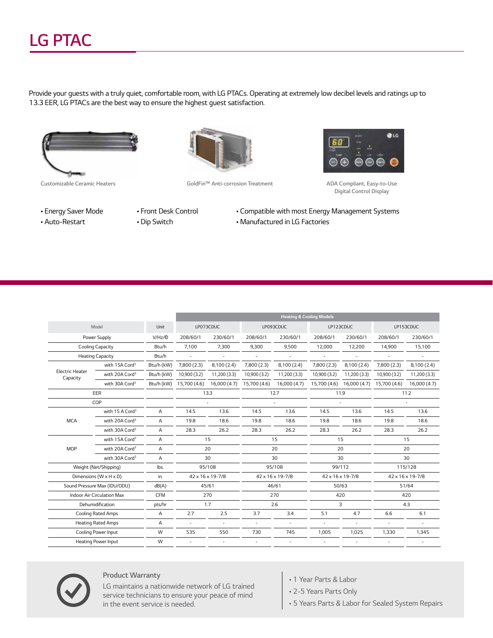## *LG PTAC*

*Provide your guests with a truly quiet, comfortable room, with LG PTACs. Operating at extremely low decibel levels and ratings up to 13.3 EER, LG PTACs are the best way to ensure the highest guest satisfaction.*





*Customizable Ceramic Heaters GoldFin™ Anti-corrosion Treatment ADA Compliant, Easy-to-Use* 



*Digital Control Display*

- *Energy Saver Mode • Auto-Restart*
- *Front Desk Control*
- *Dip Switch*
- *Compatible with most Energy Management Systems*
- *Manufactured in LG Factories*

|                                    |                                 |            | <b>Heating &amp; Cooling Models</b> |                  |                  |              |                  |                           |                  |              |
|------------------------------------|---------------------------------|------------|-------------------------------------|------------------|------------------|--------------|------------------|---------------------------|------------------|--------------|
| Model                              |                                 | Unit       | LP073CDUC                           |                  | LP093CDUC        |              | LP123CDUC        |                           | LP153CDUC        |              |
|                                    | Power Supply                    | V/Hz/D     | 208/60/1                            | 230/60/1         | 208/60/1         | 230/60/1     | 208/60/1         | 230/60/1                  | 208/60/1         | 230/60/1     |
|                                    | Cooling Capacity                | Btu/h      | 7,100                               | 7,300            | 9,300            | 9,500        | 12,000           | 12,200                    | 14,900           | 15,100       |
|                                    | <b>Heating Capacity</b>         |            | ÷.                                  | ÷,               |                  |              |                  | ÷.                        | ÷                |              |
|                                    | with 15A Cord <sup>3</sup>      | Btu/h (kW) | 7,800 (2.3)                         | 8,100 (2.4)      | 7,800 (2.3)      | 8,100 (2.4)  | 7,800(2.3)       | 8,100 (2.4)               | 7,800 (2.3)      | 8,100 (2.4)  |
| <b>Electric Heater</b><br>Capacity | with 20A Cord <sup>3</sup>      | Btu/h (kW) | 10,900 (3.2)                        | 11,200 (3.3)     | 10,900 (3.2)     | 11,200 (3.3) | 10,900 (3.2)     | 11,200 (3.3)              | 10,900 (3.2)     | 11,200(3.3)  |
|                                    | with 30A Cord <sup>3</sup>      | Btu/h (kW) | 15,700 (4.6)                        | 16,000 (4.7)     | 15,700 (4.6)     | 16,000 (4.7) |                  | 15,700 (4.6) 16,000 (4.7) | 15,700 (4.6)     | 16,000 (4.7) |
|                                    | EER                             |            |                                     | 13.3             |                  | 12.7         | 11.9             |                           | 11.2             |              |
|                                    | COP                             |            |                                     |                  |                  |              |                  |                           |                  |              |
|                                    | with 15 A Cord <sup>3</sup>     | Α          | 14.5                                | 13.6             | 14.5             | 13.6         | 14.5             | 13.6                      | 14.5             | 13.6         |
| <b>MCA</b>                         | with 20A Cord <sup>3</sup>      | A          | 19.8                                | 18.6             | 19.8             | 18.6         | 19.8             | 18.6                      | 19.8             | 18.6         |
|                                    | with 30A Cord <sup>3</sup>      | A          | 28.3                                | 26.2             | 28.3             | 26.2         | 28.3             | 26.2                      | 28.3             | 26.2         |
|                                    | with 15A Cord <sup>3</sup><br>A |            |                                     | 15               |                  | 15           | 15               |                           |                  | 15           |
| <b>MOP</b>                         | with 20A Cord <sup>3</sup>      | A          |                                     | 20               |                  | 20           |                  | 20                        |                  | 20           |
|                                    | with 30A Cord <sup>3</sup>      | A          | 30                                  |                  | 30               |              | 30               |                           | 30               |              |
|                                    | Weight (Net/Shipping)           | lbs.       |                                     | 95/108<br>95/108 |                  |              | 99/112           | 115/128                   |                  |              |
|                                    | Dimensions (W x H x D)          | in.        | 42 x 16 x 19-7/8                    |                  | 42 x 16 x 19-7/8 |              | 42 x 16 x 19-7/8 |                           | 42 x 16 x 19-7/8 |              |
| Sound Pressure Max (IDU/ODU)       |                                 | dB(A)      | 45/61                               |                  | 46/61            |              | 50/63            |                           | 51/64            |              |
| Indoor Air Circulation Max         |                                 | <b>CFM</b> | 270                                 |                  | 270              |              | 420              |                           | 420              |              |
| Dehumidification                   |                                 | pts/hr     |                                     | 1.7              |                  | 2.6          |                  | 3                         |                  | 4.3          |
| <b>Cooling Rated Amps</b>          |                                 | A          | 2.7                                 | 2.5              | 3.7              | 3.4          | 5.1              | 4.7                       | 6.6              | 6.1          |
| <b>Heating Rated Amps</b>          |                                 | Α          | ÷.                                  | ×.               | ÷.               | ÷.           | $\sim$           | ÷.                        | $\overline{a}$   | ÷.           |
|                                    | Cooling Power Input             |            | 535                                 | 550              | 730              | 745          | 1,005            | 1,025                     | 1,330            | 1,345        |
|                                    | Heating Power Input             |            | $\sim$                              | ×.               |                  | ×.           | ٠                | $\sim$                    | ÷.               | ٠            |



#### *Product Warranty*

*LG maintains a nationwide network of LG trained service technicians to ensure your peace of mind in the event service is needed.*

- *1 Year Parts & Labor*
- *2-5 Years Parts Only*
- *5 Years Parts & Labor for Sealed System Repairs*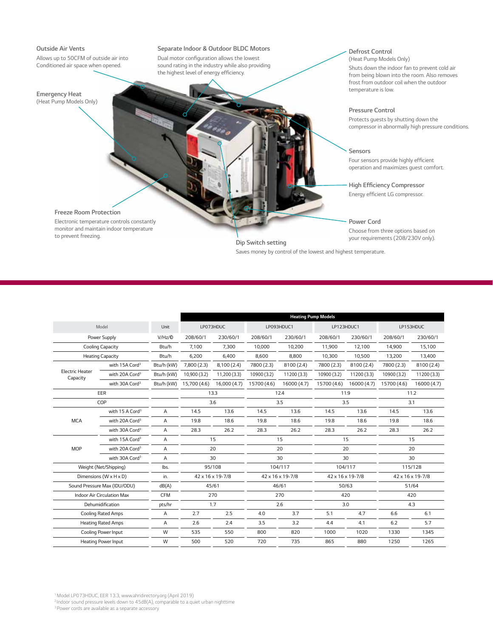#### *Outside Air Vents*

*Allows up to 50CFM of outside air into Conditioned air space when opened.*

#### *Emergency Heat (Heat Pump Models Only)*

#### *Separate Indoor & Outdoor BLDC Motors*

Dual motor configuration allows the lowest *sound rating in the industry while also providing*  the highest level of energy efficiency.

#### *Defrost Control*

*(Heat Pump Models Only) Shuts down the indoor fan to prevent cold air from being blown into the room. Also removes frost from outdoor coil when the outdoor temperature is low.*

#### *Pressure Control*

*Protects guests by shutting down the compressor in abnormally high pressure conditions.*

*Sensors* Four sensors provide highly efficient *operation and maximizes guest comfort.*

### **High Efficiency Compressor**

Energy efficient LG compressor.

#### *Power Cord*

*Choose from three options based on* 

*Freeze Room Protection*

*Electronic temperature controls constantly monitor and maintain indoor temperature to prevent freezing.*

### *your requirements (208/230V only). Dip Switch setting Saves money by control of the lowest and highest temperature.*

|                                    |                                      |            |                  |              |                  | <b>Heating Pump Models</b> |                  |             |                  |             |
|------------------------------------|--------------------------------------|------------|------------------|--------------|------------------|----------------------------|------------------|-------------|------------------|-------------|
| Model                              |                                      | Unit       | LP073HDUC        |              | LP093HDUC1       |                            | LP123HDUC1       |             | LP153HDUC        |             |
|                                    | Power Supply                         | V/Hz/D     | 208/60/1         | 230/60/1     | 208/60/1         | 230/60/1                   | 208/60/1         | 230/60/1    | 208/60/1         | 230/60/1    |
|                                    | Cooling Capacity                     |            | 7,100            | 7,300        | 10,000           | 10,200                     | 11,900           | 12,100      | 14,900           | 15,100      |
| <b>Heating Capacity</b>            |                                      | Btu/h      | 6.200            | 6.400        | 8.600            | 8.800                      | 10,300           | 10,500      | 13,200           | 13,400      |
|                                    | with 15A Cord <sup>3</sup>           | Btu/h (kW) | 7,800(2.3)       | 8,100(2.4)   | 7800 (2.3)       | 8100 (2.4)                 | 7800 (2.3)       | 8100 (2.4)  | 7800 (2.3)       | 8100 (2.4)  |
| <b>Electric Heater</b><br>Capacity | with 20A Cord <sup>3</sup>           | Btu/h (kW) | 10,900 (3.2)     | 11,200(3.3)  | 10900 (3.2)      | 11200 (3.3)                | 10900 (3.2)      | 11200 (3.3) | 10900 (3.2)      | 11200 (3.3) |
|                                    | with 30A Cord <sup>3</sup>           | Btu/h (kW) | 15,700 (4.6)     | 16,000 (4.7) | 15700 (4.6)      | 16000 (4.7)                | 15700 (4.6)      | 16000 (4.7) | 15700 (4.6)      | 16000 (4.7) |
|                                    | EER                                  |            |                  | 13.3         |                  | 12.4                       | 11.9             |             | 11.2             |             |
|                                    | COP                                  |            | 3.6              |              | 3.5              |                            | 3.5              |             | 3.1              |             |
|                                    | with 15 A Cord <sup>3</sup>          | A          | 14.5             | 13.6         | 14.5             | 13.6                       | 14.5             | 13.6        | 14.5             | 13.6        |
| <b>MCA</b>                         | with 20A Cord <sup>3</sup>           | Α          | 19.8             | 18.6         | 19.8             | 18.6                       | 19.8             | 18.6        | 19.8             | 18.6        |
|                                    | with 30A Cord <sup>3</sup>           | A          | 28.3             | 26.2         | 28.3             | 26.2                       | 28.3             | 26.2        | 28.3             | 26.2        |
|                                    | with 15A Cord <sup>3</sup>           |            |                  | 15           |                  | 15                         |                  | 15          |                  | 15          |
| <b>MOP</b>                         | with 20A Cord <sup>3</sup>           | A          |                  | 20           |                  | 20                         |                  | 20          |                  | 20          |
|                                    | with 30A Cord <sup>3</sup>           | A          | 30               |              |                  | 30                         | 30               |             | 30               |             |
|                                    | Weight (Net/Shipping)                | lbs.       | 95/108           |              | 104/117          |                            | 104/117          |             | 115/128          |             |
|                                    | Dimensions ( $W \times H \times D$ ) | in.        | 42 x 16 x 19-7/8 |              | 42 x 16 x 19-7/8 |                            | 42 x 16 x 19-7/8 |             | 42 x 16 x 19-7/8 |             |
|                                    | Sound Pressure Max (IDU/ODU)         | dB(A)      | 45/61            |              | 46/61            |                            | 50/63            |             | 51/64            |             |
| <b>Indoor Air Circulation Max</b>  |                                      | CFM        | 270              |              | 270              |                            | 420              |             | 420              |             |
| Dehumidification                   |                                      | pts/hr     | 1.7              |              | 2.6              |                            | 3.0              |             | 4.3              |             |
| <b>Cooling Rated Amps</b>          |                                      | A          | 2.7              | 2.5          | 4.0              | 3.7                        | 5.1              | 4.7         | 6.6              | 6.1         |
| <b>Heating Rated Amps</b>          |                                      | A          | 2.6              | 2.4          | 3.5              | 3.2                        | 4.4              | 4.1         | 6.2              | 5.7         |
|                                    | Cooling Power Input                  | W          | 535              | 550          | 800              | 820                        | 1000             | 1020        | 1330             | 1345        |
|                                    | <b>Heating Power Input</b>           | W          | 500              | 520          | 720              | 735                        | 865              | 880         | 1250             | 1265        |

*1 Model LP073HDUC, EER 13.3, www.ahridirectory.org (April 2019)*

*2 Indoor sound pressure levels down to 45dB(A), comparable to a quiet urban nighttime*

*3 Power cords are available as a separate accessory*